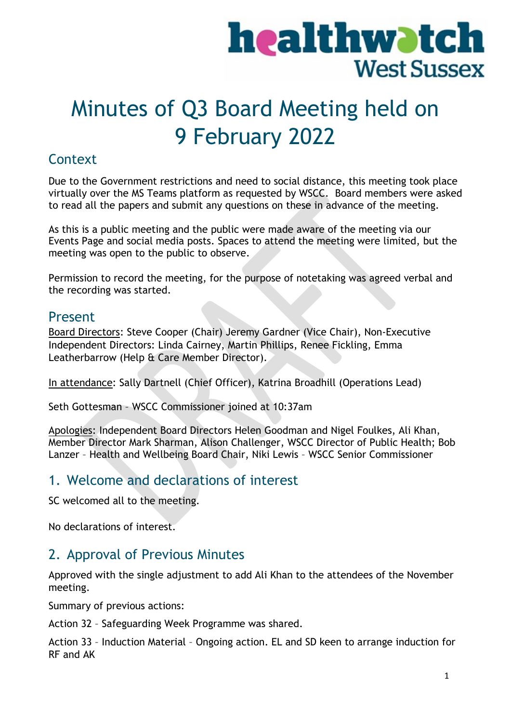# healthwatch **West Sussex**

## Minutes of Q3 Board Meeting held on 9 February 2022

## **Context**

Due to the Government restrictions and need to social distance, this meeting took place virtually over the MS Teams platform as requested by WSCC. Board members were asked to read all the papers and submit any questions on these in advance of the meeting.

As this is a public meeting and the public were made aware of the meeting via our Events Page and social media posts. Spaces to attend the meeting were limited, but the meeting was open to the public to observe.

Permission to record the meeting, for the purpose of notetaking was agreed verbal and the recording was started.

## Present

Board Directors: Steve Cooper (Chair) Jeremy Gardner (Vice Chair), Non-Executive Independent Directors: Linda Cairney, Martin Phillips, Renee Fickling, Emma Leatherbarrow (Help & Care Member Director).

In attendance: Sally Dartnell (Chief Officer), Katrina Broadhill (Operations Lead)

Seth Gottesman – WSCC Commissioner joined at 10:37am

Apologies: Independent Board Directors Helen Goodman and Nigel Foulkes, Ali Khan, Member Director Mark Sharman, Alison Challenger, WSCC Director of Public Health; Bob Lanzer – Health and Wellbeing Board Chair, Niki Lewis – WSCC Senior Commissioner

## 1. Welcome and declarations of interest

SC welcomed all to the meeting.

No declarations of interest.

## 2. Approval of Previous Minutes

Approved with the single adjustment to add Ali Khan to the attendees of the November meeting.

Summary of previous actions:

Action 32 – Safeguarding Week Programme was shared.

Action 33 – Induction Material – Ongoing action. EL and SD keen to arrange induction for RF and AK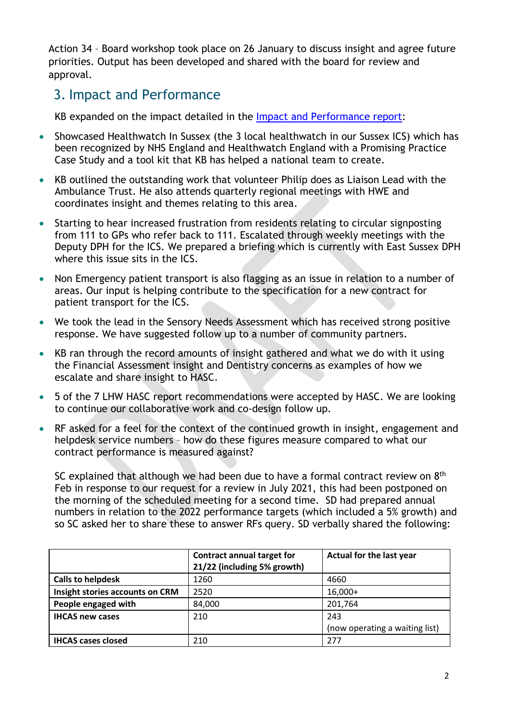Action 34 – Board workshop took place on 26 January to discuss insight and agree future priorities. Output has been developed and shared with the board for review and approval.

## 3. Impact and Performance

KB expanded on the impact detailed in the [Impact and Performance report:](https://www.healthwatchwestsussex.co.uk/report/2021-04-19/impact-performance-report-january-march-2021-q4)

- Showcased Healthwatch In Sussex (the 3 local healthwatch in our Sussex ICS) which has been recognized by NHS England and Healthwatch England with a Promising Practice Case Study and a tool kit that KB has helped a national team to create.
- KB outlined the outstanding work that volunteer Philip does as Liaison Lead with the Ambulance Trust. He also attends quarterly regional meetings with HWE and coordinates insight and themes relating to this area.
- Starting to hear increased frustration from residents relating to circular signposting from 111 to GPs who refer back to 111. Escalated through weekly meetings with the Deputy DPH for the ICS. We prepared a briefing which is currently with East Sussex DPH where this issue sits in the ICS.
- Non Emergency patient transport is also flagging as an issue in relation to a number of areas. Our input is helping contribute to the specification for a new contract for patient transport for the ICS.
- We took the lead in the Sensory Needs Assessment which has received strong positive response. We have suggested follow up to a number of community partners.
- KB ran through the record amounts of insight gathered and what we do with it using the Financial Assessment insight and Dentistry concerns as examples of how we escalate and share insight to HASC.
- 5 of the 7 LHW HASC report recommendations were accepted by HASC. We are looking to continue our collaborative work and co-design follow up.
- RF asked for a feel for the context of the continued growth in insight, engagement and helpdesk service numbers – how do these figures measure compared to what our contract performance is measured against?

SC explained that although we had been due to have a formal contract review on 8<sup>th</sup> Feb in response to our request for a review in July 2021, this had been postponed on the morning of the scheduled meeting for a second time. SD had prepared annual numbers in relation to the 2022 performance targets (which included a 5% growth) and so SC asked her to share these to answer RFs query. SD verbally shared the following:

|                                 | <b>Contract annual target for</b><br>21/22 (including 5% growth) | Actual for the last year       |
|---------------------------------|------------------------------------------------------------------|--------------------------------|
| <b>Calls to helpdesk</b>        | 1260                                                             | 4660                           |
| Insight stories accounts on CRM | 2520                                                             | $16,000+$                      |
| People engaged with             | 84,000                                                           | 201,764                        |
| <b>IHCAS new cases</b>          | 210                                                              | 243                            |
|                                 |                                                                  | (now operating a waiting list) |
| <b>IHCAS cases closed</b>       | 210                                                              | 277                            |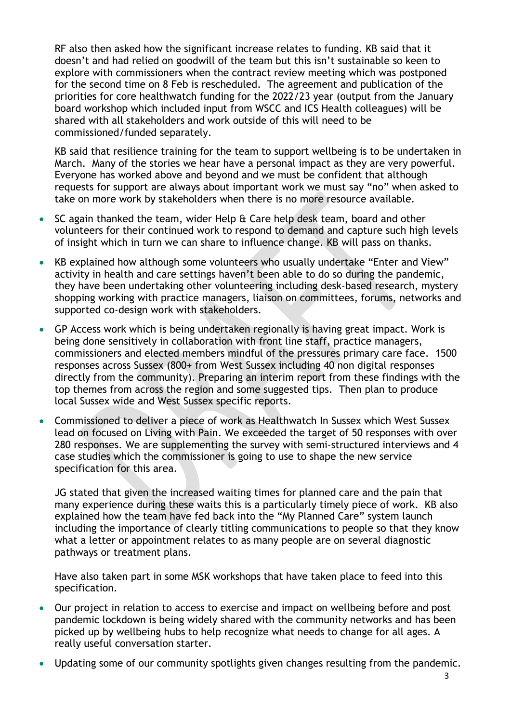RF also then asked how the significant increase relates to funding. KB said that it doesn't and had relied on goodwill of the team but this isn't sustainable so keen to explore with commissioners when the contract review meeting which was postponed for the second time on 8 Feb is rescheduled. The agreement and publication of the priorities for core healthwatch funding for the 2022/23 year (output from the January board workshop which included input from WSCC and ICS Health colleagues) will be shared with all stakeholders and work outside of this will need to be commissioned/funded separately.

KB said that resilience training for the team to support wellbeing is to be undertaken in March. Many of the stories we hear have a personal impact as they are very powerful. Everyone has worked above and beyond and we must be confident that although requests for support are always about important work we must say "no" when asked to take on more work by stakeholders when there is no more resource available.

- SC again thanked the team, wider Help & Care help desk team, board and other volunteers for their continued work to respond to demand and capture such high levels of insight which in turn we can share to influence change. KB will pass on thanks.
- KB explained how although some volunteers who usually undertake "Enter and View" activity in health and care settings haven't been able to do so during the pandemic, they have been undertaking other volunteering including desk-based research, mystery shopping working with practice managers, liaison on committees, forums, networks and supported co-design work with stakeholders.
- GP Access work which is being undertaken regionally is having great impact. Work is being done sensitively in collaboration with front line staff, practice managers, commissioners and elected members mindful of the pressures primary care face. 1500 responses across Sussex (800+ from West Sussex including 40 non digital responses directly from the community). Preparing an interim report from these findings with the top themes from across the region and some suggested tips. Then plan to produce local Sussex wide and West Sussex specific reports.
- Commissioned to deliver a piece of work as Healthwatch In Sussex which West Sussex lead on focused on Living with Pain. We exceeded the target of 50 responses with over 280 responses. We are supplementing the survey with semi-structured interviews and 4 case studies which the commissioner is going to use to shape the new service specification for this area.

JG stated that given the increased waiting times for planned care and the pain that many experience during these waits this is a particularly timely piece of work. KB also explained how the team have fed back into the "My Planned Care" system launch including the importance of clearly titling communications to people so that they know what a letter or appointment relates to as many people are on several diagnostic pathways or treatment plans.

Have also taken part in some MSK workshops that have taken place to feed into this specification.

- Our project in relation to access to exercise and impact on wellbeing before and post pandemic lockdown is being widely shared with the community networks and has been picked up by wellbeing hubs to help recognize what needs to change for all ages. A really useful conversation starter.
- Updating some of our community spotlights given changes resulting from the pandemic.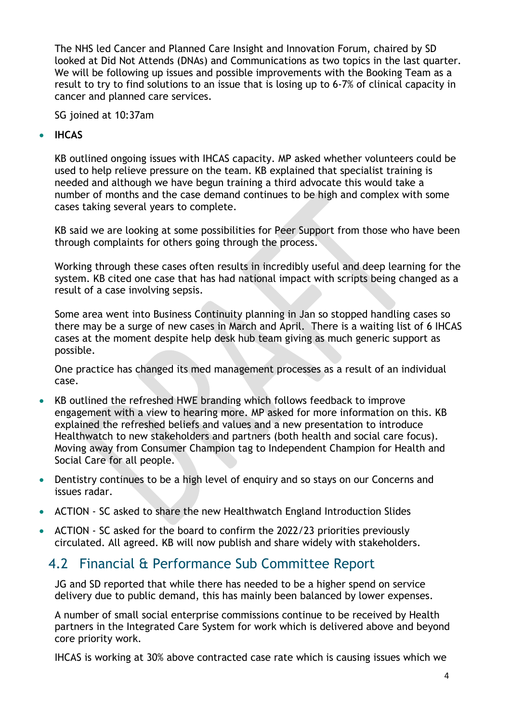The NHS led Cancer and Planned Care Insight and Innovation Forum, chaired by SD looked at Did Not Attends (DNAs) and Communications as two topics in the last quarter. We will be following up issues and possible improvements with the Booking Team as a result to try to find solutions to an issue that is losing up to 6-7% of clinical capacity in cancer and planned care services.

SG joined at 10:37am

#### • **IHCAS**

KB outlined ongoing issues with IHCAS capacity. MP asked whether volunteers could be used to help relieve pressure on the team. KB explained that specialist training is needed and although we have begun training a third advocate this would take a number of months and the case demand continues to be high and complex with some cases taking several years to complete.

KB said we are looking at some possibilities for Peer Support from those who have been through complaints for others going through the process.

Working through these cases often results in incredibly useful and deep learning for the system. KB cited one case that has had national impact with scripts being changed as a result of a case involving sepsis.

Some area went into Business Continuity planning in Jan so stopped handling cases so there may be a surge of new cases in March and April. There is a waiting list of 6 IHCAS cases at the moment despite help desk hub team giving as much generic support as possible.

One practice has changed its med management processes as a result of an individual case.

- KB outlined the refreshed HWE branding which follows feedback to improve engagement with a view to hearing more. MP asked for more information on this. KB explained the refreshed beliefs and values and a new presentation to introduce Healthwatch to new stakeholders and partners (both health and social care focus). Moving away from Consumer Champion tag to Independent Champion for Health and Social Care for all people.
- Dentistry continues to be a high level of enquiry and so stays on our Concerns and issues radar.
- ACTION SC asked to share the new Healthwatch England Introduction Slides
- ACTION SC asked for the board to confirm the 2022/23 priorities previously circulated. All agreed. KB will now publish and share widely with stakeholders.

## 4.2 Financial & Performance Sub Committee Report

JG and SD reported that while there has needed to be a higher spend on service delivery due to public demand, this has mainly been balanced by lower expenses.

A number of small social enterprise commissions continue to be received by Health partners in the Integrated Care System for work which is delivered above and beyond core priority work.

IHCAS is working at 30% above contracted case rate which is causing issues which we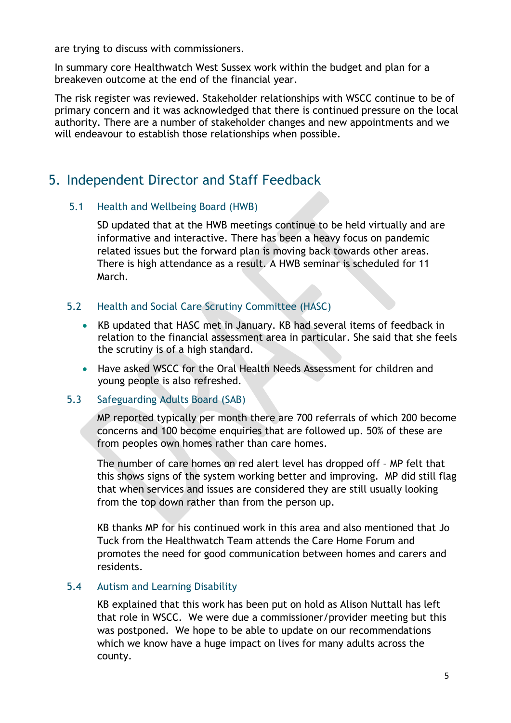are trying to discuss with commissioners.

In summary core Healthwatch West Sussex work within the budget and plan for a breakeven outcome at the end of the financial year.

The risk register was reviewed. Stakeholder relationships with WSCC continue to be of primary concern and it was acknowledged that there is continued pressure on the local authority. There are a number of stakeholder changes and new appointments and we will endeavour to establish those relationships when possible.

## 5. Independent Director and Staff Feedback

#### 5.1 Health and Wellbeing Board (HWB)

SD updated that at the HWB meetings continue to be held virtually and are informative and interactive. There has been a heavy focus on pandemic related issues but the forward plan is moving back towards other areas. There is high attendance as a result. A HWB seminar is scheduled for 11 March.

#### 5.2 Health and Social Care Scrutiny Committee (HASC)

- KB updated that HASC met in January. KB had several items of feedback in relation to the financial assessment area in particular. She said that she feels the scrutiny is of a high standard.
- Have asked WSCC for the Oral Health Needs Assessment for children and young people is also refreshed.

#### 5.3 Safeguarding Adults Board (SAB)

MP reported typically per month there are 700 referrals of which 200 become concerns and 100 become enquiries that are followed up. 50% of these are from peoples own homes rather than care homes.

The number of care homes on red alert level has dropped off – MP felt that this shows signs of the system working better and improving. MP did still flag that when services and issues are considered they are still usually looking from the top down rather than from the person up.

KB thanks MP for his continued work in this area and also mentioned that Jo Tuck from the Healthwatch Team attends the Care Home Forum and promotes the need for good communication between homes and carers and residents.

#### 5.4 Autism and Learning Disability

KB explained that this work has been put on hold as Alison Nuttall has left that role in WSCC. We were due a commissioner/provider meeting but this was postponed. We hope to be able to update on our recommendations which we know have a huge impact on lives for many adults across the county.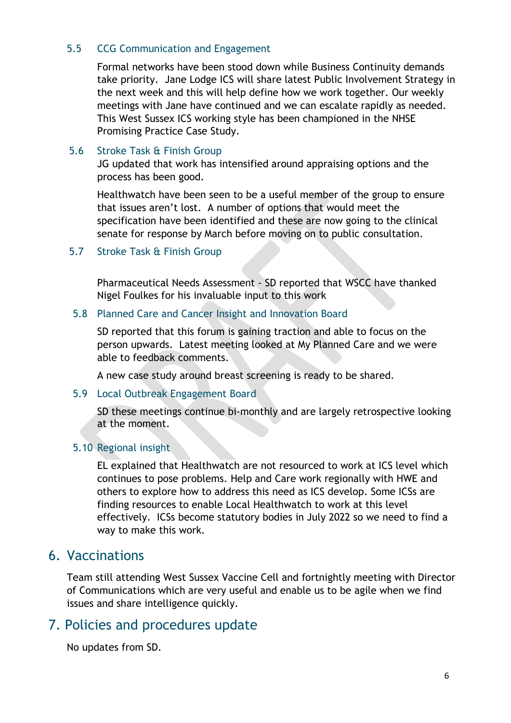#### 5.5 CCG Communication and Engagement

Formal networks have been stood down while Business Continuity demands take priority. Jane Lodge ICS will share latest Public Involvement Strategy in the next week and this will help define how we work together. Our weekly meetings with Jane have continued and we can escalate rapidly as needed. This West Sussex ICS working style has been championed in the NHSE Promising Practice Case Study.

#### 5.6 Stroke Task & Finish Group

JG updated that work has intensified around appraising options and the process has been good.

Healthwatch have been seen to be a useful member of the group to ensure that issues aren't lost. A number of options that would meet the specification have been identified and these are now going to the clinical senate for response by March before moving on to public consultation.

5.7 Stroke Task & Finish Group

Pharmaceutical Needs Assessment - SD reported that WSCC have thanked Nigel Foulkes for his invaluable input to this work

#### 5.8 Planned Care and Cancer Insight and Innovation Board

SD reported that this forum is gaining traction and able to focus on the person upwards. Latest meeting looked at My Planned Care and we were able to feedback comments.

A new case study around breast screening is ready to be shared.

#### 5.9 Local Outbreak Engagement Board

SD these meetings continue bi-monthly and are largely retrospective looking at the moment.

#### 5.10 Regional insight

EL explained that Healthwatch are not resourced to work at ICS level which continues to pose problems. Help and Care work regionally with HWE and others to explore how to address this need as ICS develop. Some ICSs are finding resources to enable Local Healthwatch to work at this level effectively. ICSs become statutory bodies in July 2022 so we need to find a way to make this work.

## 6. Vaccinations

Team still attending West Sussex Vaccine Cell and fortnightly meeting with Director of Communications which are very useful and enable us to be agile when we find issues and share intelligence quickly.

## 7. Policies and procedures update

No updates from SD.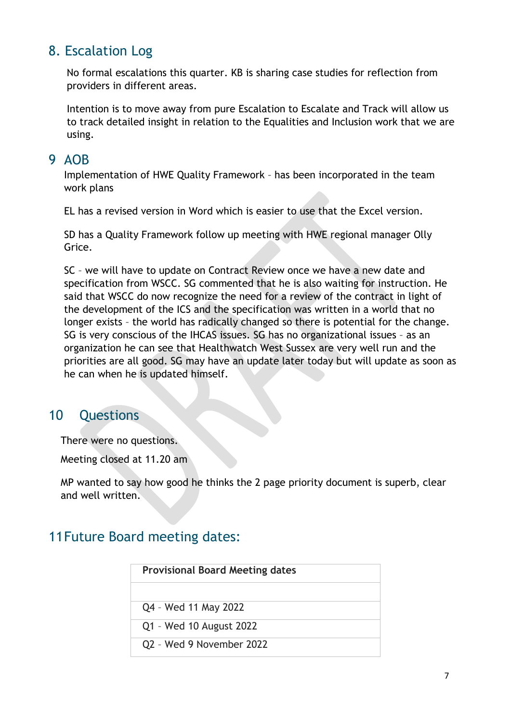## 8. Escalation Log

No formal escalations this quarter. KB is sharing case studies for reflection from providers in different areas.

Intention is to move away from pure Escalation to Escalate and Track will allow us to track detailed insight in relation to the Equalities and Inclusion work that we are using.

### 9 AOB

Implementation of HWE Quality Framework – has been incorporated in the team work plans

EL has a revised version in Word which is easier to use that the Excel version.

SD has a Quality Framework follow up meeting with HWE regional manager Olly Grice.

SC – we will have to update on Contract Review once we have a new date and specification from WSCC. SG commented that he is also waiting for instruction. He said that WSCC do now recognize the need for a review of the contract in light of the development of the ICS and the specification was written in a world that no longer exists – the world has radically changed so there is potential for the change. SG is very conscious of the IHCAS issues. SG has no organizational issues – as an organization he can see that Healthwatch West Sussex are very well run and the priorities are all good. SG may have an update later today but will update as soon as he can when he is updated himself.

## 10 Questions

There were no questions.

Meeting closed at 11.20 am

MP wanted to say how good he thinks the 2 page priority document is superb, clear and well written.

## 11Future Board meeting dates:

| <b>Provisional Board Meeting dates</b> |  |
|----------------------------------------|--|
|                                        |  |
| Q4 - Wed 11 May 2022                   |  |
| Q1 - Wed 10 August 2022                |  |
| Q2 - Wed 9 November 2022               |  |